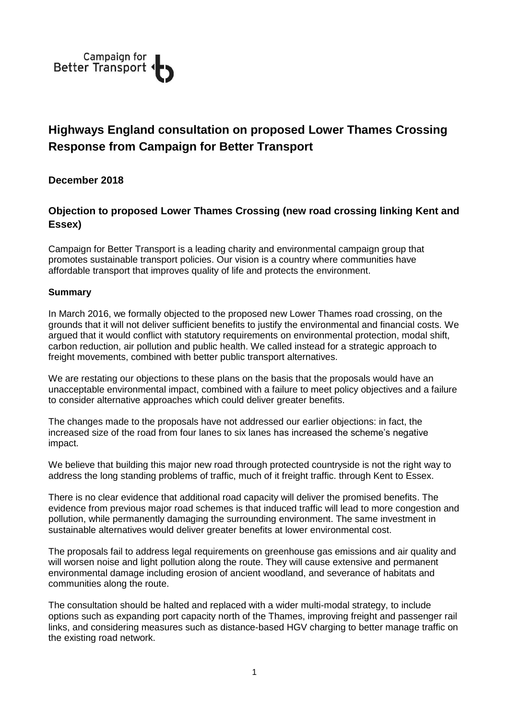

## **Highways England consultation on proposed Lower Thames Crossing Response from Campaign for Better Transport**

**December 2018**

## **Objection to proposed Lower Thames Crossing (new road crossing linking Kent and Essex)**

Campaign for Better Transport is a leading charity and environmental campaign group that promotes sustainable transport policies. Our vision is a country where communities have affordable transport that improves quality of life and protects the environment.

## **Summary**

In March 2016, we formally objected to the proposed new Lower Thames road crossing, on the grounds that it will not deliver sufficient benefits to justify the environmental and financial costs. We argued that it would conflict with statutory requirements on environmental protection, modal shift, carbon reduction, air pollution and public health. We called instead for a strategic approach to freight movements, combined with better public transport alternatives.

We are restating our objections to these plans on the basis that the proposals would have an unacceptable environmental impact, combined with a failure to meet policy objectives and a failure to consider alternative approaches which could deliver greater benefits.

The changes made to the proposals have not addressed our earlier objections: in fact, the increased size of the road from four lanes to six lanes has increased the scheme's negative impact.

We believe that building this major new road through protected countryside is not the right way to address the long standing problems of traffic, much of it freight traffic. through Kent to Essex.

There is no clear evidence that additional road capacity will deliver the promised benefits. The evidence from previous major road schemes is that induced traffic will lead to more congestion and pollution, while permanently damaging the surrounding environment. The same investment in sustainable alternatives would deliver greater benefits at lower environmental cost.

The proposals fail to address legal requirements on greenhouse gas emissions and air quality and will worsen noise and light pollution along the route. They will cause extensive and permanent environmental damage including erosion of ancient woodland, and severance of habitats and communities along the route.

The consultation should be halted and replaced with a wider multi-modal strategy, to include options such as expanding port capacity north of the Thames, improving freight and passenger rail links, and considering measures such as distance-based HGV charging to better manage traffic on the existing road network.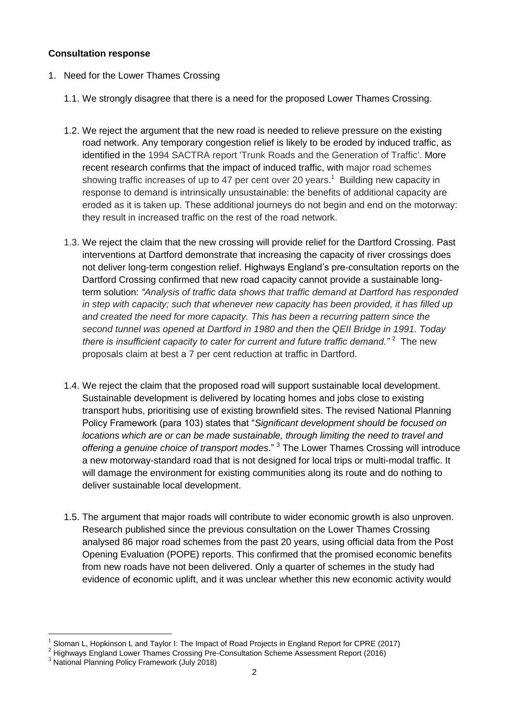## **Consultation response**

- 1. Need for the Lower Thames Crossing
	- 1.1. We strongly disagree that there is a need for the proposed Lower Thames Crossing.
	- 1.2. We reject the argument that the new road is needed to relieve pressure on the existing road network. Any temporary congestion relief is likely to be eroded by induced traffic, as identified in the 1994 SACTRA report 'Trunk Roads and the Generation of Traffic'. More recent research confirms that the impact of induced traffic, with major road schemes showing traffic increases of up to 47 per cent over 20 years.<sup>1</sup> Building new capacity in response to demand is intrinsically unsustainable: the benefits of additional capacity are eroded as it is taken up. These additional journeys do not begin and end on the motorway: they result in increased traffic on the rest of the road network.
	- 1.3. We reject the claim that the new crossing will provide relief for the Dartford Crossing. Past interventions at Dartford demonstrate that increasing the capacity of river crossings does not deliver long-term congestion relief. Highways England's pre-consultation reports on the Dartford Crossing confirmed that new road capacity cannot provide a sustainable longterm solution: *"Analysis of traffic data shows that traffic demand at Dartford has responded in step with capacity; such that whenever new capacity has been provided, it has filled up and created the need for more capacity. This has been a recurring pattern since the second tunnel was opened at Dartford in 1980 and then the QEII Bridge in 1991. Today there is insufficient capacity to cater for current and future traffic demand."* <sup>2</sup> The new proposals claim at best a 7 per cent reduction at traffic in Dartford.
	- 1.4. We reject the claim that the proposed road will support sustainable local development. Sustainable development is delivered by locating homes and jobs close to existing transport hubs, prioritising use of existing brownfield sites. The revised National Planning Policy Framework (para 103) states that "*Significant development should be focused on locations which are or can be made sustainable, through limiting the need to travel and offering a genuine choice of transport modes*." <sup>3</sup> The Lower Thames Crossing will introduce a new motorway-standard road that is not designed for local trips or multi-modal traffic. It will damage the environment for existing communities along its route and do nothing to deliver sustainable local development.
	- 1.5. The argument that major roads will contribute to wider economic growth is also unproven. Research published since the previous consultation on the Lower Thames Crossing analysed 86 major road schemes from the past 20 years, using official data from the Post Opening Evaluation (POPE) reports. This confirmed that the promised economic benefits from new roads have not been delivered. Only a quarter of schemes in the study had evidence of economic uplift, and it was unclear whether this new economic activity would

1

<sup>1</sup> Sloman L, Hopkinson L and Taylor I: The Impact of Road Projects in England Report for CPRE (2017)

<sup>2</sup> Highways England Lower Thames Crossing Pre-Consultation Scheme Assessment Report (2016)

<sup>3</sup> National Planning Policy Framework (July 2018)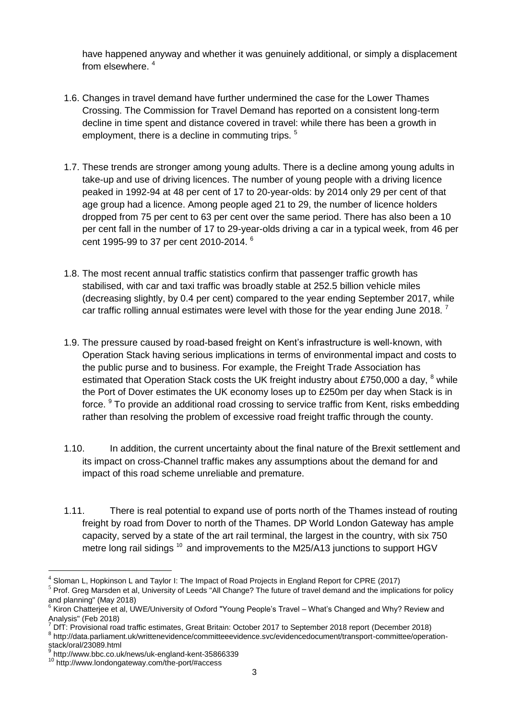have happened anyway and whether it was genuinely additional, or simply a displacement from elsewhere. <sup>4</sup>

- 1.6. Changes in travel demand have further undermined the case for the Lower Thames Crossing. The Commission for Travel Demand has reported on a consistent long-term decline in time spent and distance covered in travel: while there has been a growth in employment, there is a decline in commuting trips.  $5$
- 1.7. These trends are stronger among young adults. There is a decline among young adults in take-up and use of driving licences. The number of young people with a driving licence peaked in 1992-94 at 48 per cent of 17 to 20-year-olds: by 2014 only 29 per cent of that age group had a licence. Among people aged 21 to 29, the number of licence holders dropped from 75 per cent to 63 per cent over the same period. There has also been a 10 per cent fall in the number of 17 to 29-year-olds driving a car in a typical week, from 46 per cent 1995-99 to 37 per cent 2010-2014. <sup>6</sup>
- 1.8. The most recent annual traffic statistics confirm that passenger traffic growth has stabilised, with car and taxi traffic was broadly stable at 252.5 billion vehicle miles (decreasing slightly, by 0.4 per cent) compared to the year ending September 2017, while car traffic rolling annual estimates were level with those for the year ending June 2018.<sup>7</sup>
- 1.9. The pressure caused by road-based freight on Kent's infrastructure is well-known, with Operation Stack having serious implications in terms of environmental impact and costs to the public purse and to business. For example, the Freight Trade Association has estimated that Operation Stack costs the UK freight industry about £750,000 a day,  $8$  while the Port of Dover estimates the UK economy loses up to £250m per day when Stack is in force. <sup>9</sup> To provide an additional road crossing to service traffic from Kent, risks embedding rather than resolving the problem of excessive road freight traffic through the county.
- 1.10. In addition, the current uncertainty about the final nature of the Brexit settlement and its impact on cross-Channel traffic makes any assumptions about the demand for and impact of this road scheme unreliable and premature.
- 1.11. There is real potential to expand use of ports north of the Thames instead of routing freight by road from Dover to north of the Thames. DP World London Gateway has ample capacity, served by a state of the art rail terminal, the largest in the country, with six 750 metre long rail sidings  $^{10}$  and improvements to the M25/A13 junctions to support HGV

<u>.</u>

 $^4$  Sloman L, Hopkinson L and Taylor I: The Impact of Road Projects in England Report for CPRE (2017)

<sup>&</sup>lt;sup>5</sup> Prof. Greg Marsden et al, University of Leeds "All Change? The future of travel demand and the implications for policy and planning" (May 2018)

<sup>6</sup> Kiron Chatterjee et al, UWE/University of Oxford "Young People's Travel – What's Changed and Why? Review and Analysis" (Feb 2018)

<sup>7</sup> DfT: Provisional road traffic estimates, Great Britain: October 2017 to September 2018 report (December 2018) <sup>8</sup> http://data.parliament.uk/writtenevidence/committeeevidence.svc/evidencedocument/transport-committee/operation-

stack/oral/23089.html

<sup>&</sup>lt;sup>9</sup> http://www.bbc.co.uk/news/uk-england-kent-35866339

<sup>10</sup> http://www.londongateway.com/the-port/#access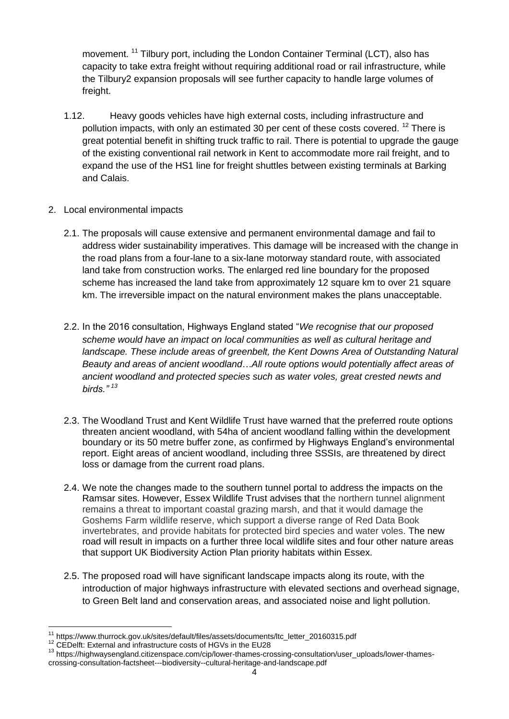movement. <sup>11</sup> Tilbury port, including the [London Container Terminal](http://www.londoncontainerterminal.com/) (LCT), also has capacity to take extra freight without requiring additional road or rail infrastructure, while the Tilbury2 expansion proposals will see further capacity to handle large volumes of freight.

- 1.12. Heavy goods vehicles have high external costs, including infrastructure and pollution impacts, with only an estimated 30 per cent of these costs covered. <sup>12</sup> There is great potential benefit in shifting truck traffic to rail. There is potential to upgrade the gauge of the existing conventional rail network in Kent to accommodate more rail freight, and to expand the use of the HS1 line for freight shuttles between existing terminals at Barking and Calais.
- 2. Local environmental impacts
	- 2.1. The proposals will cause extensive and permanent environmental damage and fail to address wider sustainability imperatives. This damage will be increased with the change in the road plans from a four-lane to a six-lane motorway standard route, with associated land take from construction works. The enlarged red line boundary for the proposed scheme has increased the land take from approximately 12 square km to over 21 square km. The irreversible impact on the natural environment makes the plans unacceptable.
	- 2.2. In the 2016 consultation, Highways England stated "*We recognise that our proposed scheme would have an impact on local communities as well as cultural heritage and*  landscape. These include areas of greenbelt, the Kent Downs Area of Outstanding Natural *Beauty and areas of ancient woodland*…*All route options would potentially affect areas of ancient woodland and protected species such as water voles, great crested newts and birds." <sup>13</sup>*
	- 2.3. The Woodland Trust and Kent Wildlife Trust have warned that the preferred route options threaten ancient woodland, with 54ha of ancient woodland falling within the development boundary or its 50 metre buffer zone, as confirmed by Highways England's environmental report. Eight areas of ancient woodland, including three SSSIs, are threatened by direct loss or damage from the current road plans.
	- 2.4. We note the changes made to the southern tunnel portal to address the impacts on the Ramsar sites. However, Essex Wildlife Trust advises that the northern tunnel alignment remains a threat to important coastal grazing marsh, and that it would damage the Goshems Farm wildlife reserve, which support a diverse range of Red Data Book invertebrates, and provide habitats for protected bird species and water voles. The new road will result in impacts on a further three local wildlife sites and four other nature areas that support UK Biodiversity Action Plan priority habitats within Essex.
	- 2.5. The proposed road will have significant landscape impacts along its route, with the introduction of major highways infrastructure with elevated sections and overhead signage, to Green Belt land and conservation areas, and associated noise and light pollution.

<sup>&</sup>lt;u>.</u> <sup>11</sup> https://www.thurrock.gov.uk/sites/default/files/assets/documents/ltc\_letter\_20160315.pdf

<sup>12</sup> CEDelft: External and infrastructure costs of HGVs in the EU28

<sup>13</sup> https://highwaysengland.citizenspace.com/cip/lower-thames-crossing-consultation/user\_uploads/lower-thamescrossing-consultation-factsheet---biodiversity--cultural-heritage-and-landscape.pdf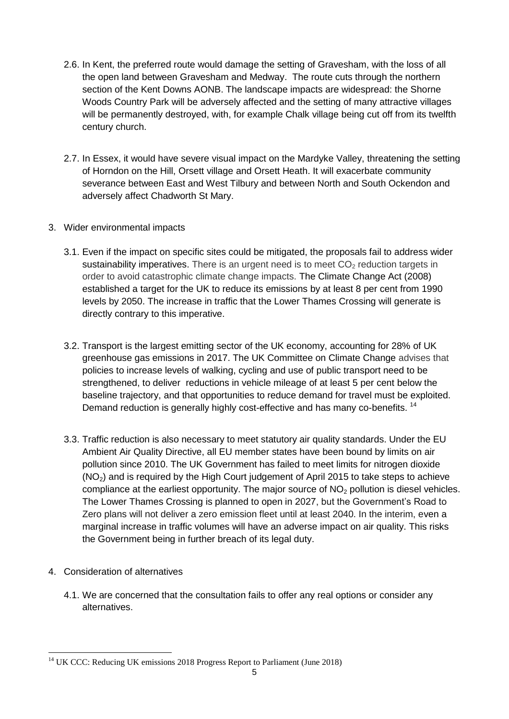- 2.6. In Kent, the preferred route would damage the setting of Gravesham, with the loss of all the open land between Gravesham and Medway. The route cuts through the northern section of the Kent Downs AONB. The landscape impacts are widespread: the Shorne Woods Country Park will be adversely affected and the setting of many attractive villages will be permanently destroyed, with, for example Chalk village being cut off from its twelfth century church.
- 2.7. In Essex, it would have severe visual impact on the Mardyke Valley, threatening the setting of Horndon on the Hill, Orsett village and Orsett Heath. It will exacerbate community severance between East and West Tilbury and between North and South Ockendon and adversely affect Chadworth St Mary.
- 3. Wider environmental impacts
	- 3.1. Even if the impact on specific sites could be mitigated, the proposals fail to address wider sustainability imperatives. There is an urgent need is to meet  $CO<sub>2</sub>$  reduction targets in order to avoid catastrophic climate change impacts. The Climate Change Act (2008) established a target for the UK to reduce its emissions by at least 8 per cent from 1990 levels by 2050. The increase in traffic that the Lower Thames Crossing will generate is directly contrary to this imperative.
	- 3.2. Transport is the largest emitting sector of the UK economy, accounting for 28% of UK greenhouse gas emissions in 2017. The UK Committee on Climate Change advises that policies to increase levels of walking, cycling and use of public transport need to be strengthened, to deliver reductions in vehicle mileage of at least 5 per cent below the baseline trajectory, and that opportunities to reduce demand for travel must be exploited. Demand reduction is generally highly cost-effective and has many co-benefits.<sup>14</sup>
	- 3.3. Traffic reduction is also necessary to meet statutory air quality standards. Under the EU Ambient Air Quality Directive, all EU member states have been bound by limits on air pollution since 2010. The UK Government has failed to meet limits for nitrogen dioxide  $(NO<sub>2</sub>)$  and is required by the High Court judgement of April 2015 to take steps to achieve compliance at the earliest opportunity. The major source of  $NO<sub>2</sub>$  pollution is diesel vehicles. The Lower Thames Crossing is planned to open in 2027, but the Government's Road to Zero plans will not deliver a zero emission fleet until at least 2040. In the interim, even a marginal increase in traffic volumes will have an adverse impact on air quality. This risks the Government being in further breach of its legal duty.
- 4. Consideration of alternatives
	- 4.1. We are concerned that the consultation fails to offer any real options or consider any alternatives.

<sup>1</sup> <sup>14</sup> UK CCC: Reducing UK emissions 2018 Progress Report to Parliament (June 2018)